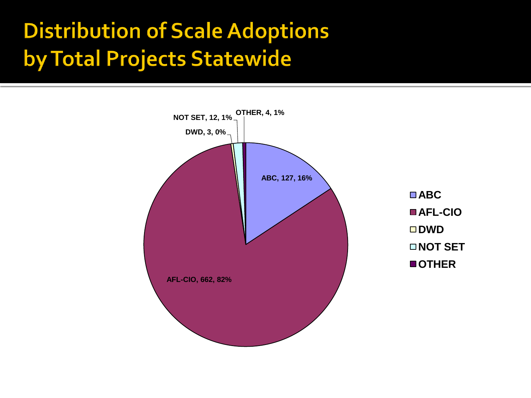# **Common Construction Wage** Hearing Data - 2010

Summary of data collected from January 1, 2010 through June 30, 2010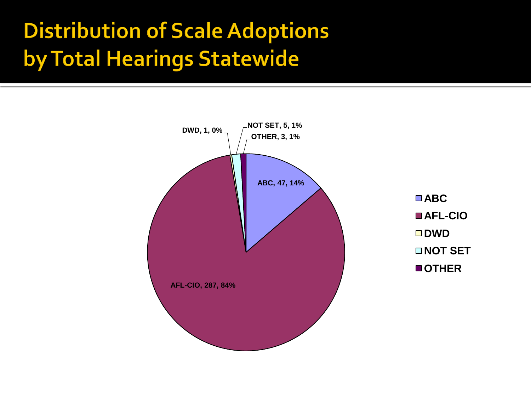# **Executive Summary**

- 808 Wage Scales were adopted in 343 hearings statewide from 1/1/10 to 6/30/10
- **Hearings were conducted in 76 of** Indiana's 92 Counties.
- **The following counties adopted the** highest number of scales:

Marion: 110 scales Hamilton: 93 scales Lake: 57 scales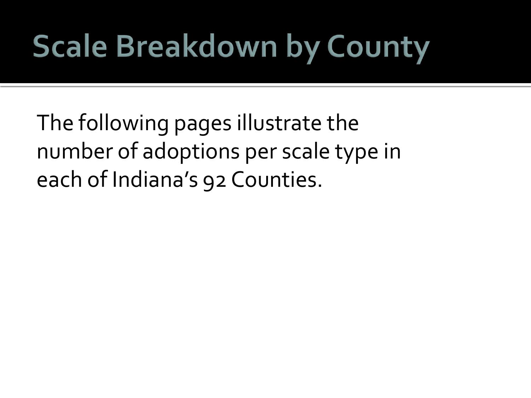## **Executive Summary (Continued)**

- **The following counties had the highest number of** separate hearings:
	- Lake: 36 hearings
	- **Marion: 28 hearings**
	- **Allen: 16 hearings**
- **Marion County had the highest number of hearings on** separate days, holding hearings on 16 separate days in six months.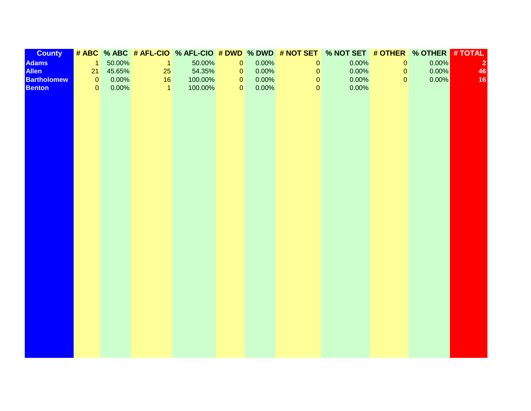# **Executive Summary (AFL-CIO/ABC)**

- The AFL-CIO Scale was presented for 758 projects and adopted 662 times (81.93% of total projects)
- The AFL-CIO Scale was presented for 330 hearings and adopted 287 times (83.67% of total hearings)
- The Associated Builders and Contractors (ABC) Scale was presented for 138 projects and adopted 127 times (15.72% of total projects)
- The ABC Scale was presented in 56 hearings and adopted  $47$  times  $(13.7\%$  of total hearings)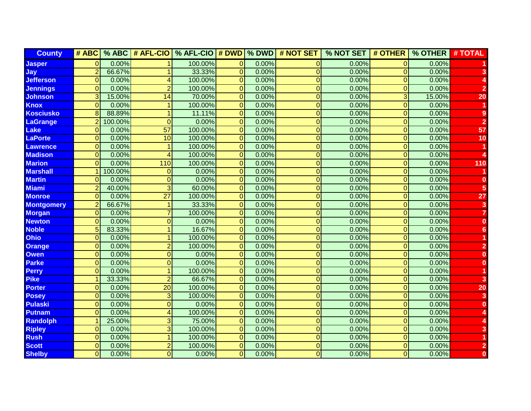### **Executive Summary (DWD & "OTHER")**

■ The Department of Workforce Development (DWD) Scale\* was adopted for 3 projects  $(.37\%$  of total projects) in 1 hearing  $(.29\%$  of total hearings)

**• "Other" scales were adopted for 4 projects** (.50% of total projects) in 3 hearings (.87% of total hearings)

\*Beginning May, 2010, the Department of Workforce Development began issuing wage reports rather than wage scales. These reports are not considered adoptable under the Common Construction Wage Act.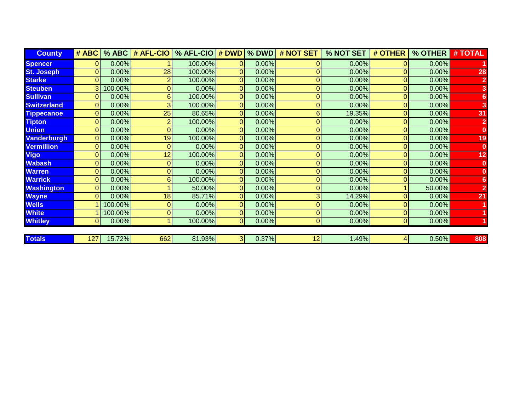#### **Distribution of Scale Adoptions** by Total Projects Statewide

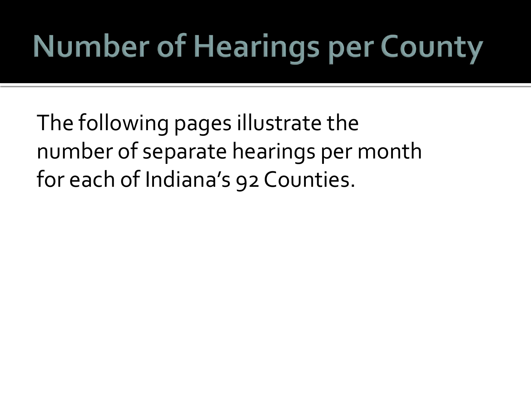#### **Distribution of Scale Adoptions** by Total Hearings Statewide



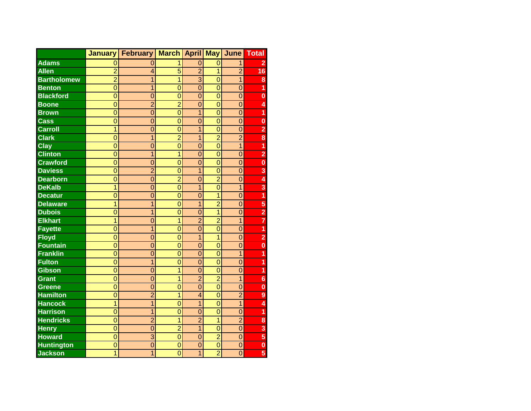# **Scale Breakdown by County**

The following pages illustrate the number of adoptions per scale type in each of Indiana's 92 Counties.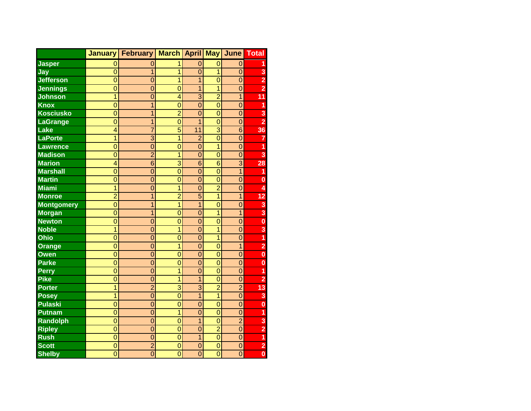# **Number of Hearings per County**

The following pages illustrate the number of separate hearings per month for each of Indiana's 92 Counties.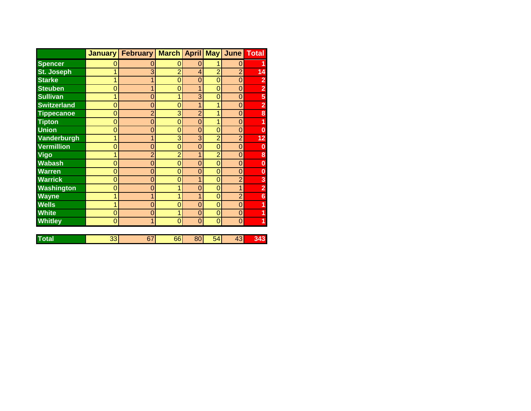# **Number of Projects per County**

The following pages illustrate the number of projects adopted per month for each of Indiana's 92 Counties.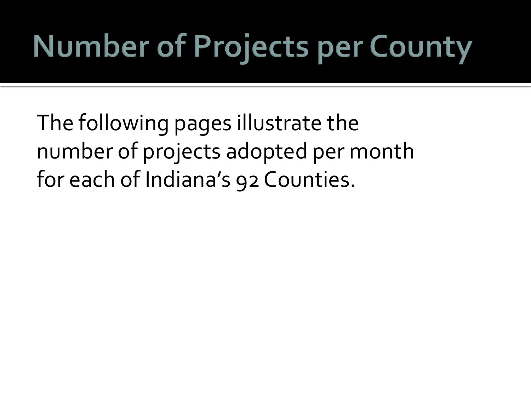# **Voting Totals**

The following tables illustrate the voting habits of committee members per project and per hearing statewide.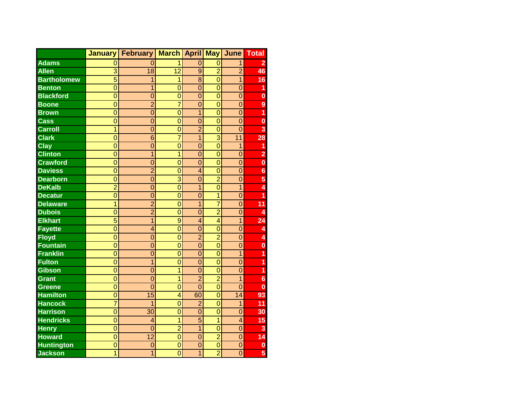# **Votes by Committee Member**

#### **Votes by Committee Member per Project**

|                        | # ABC | # AFL-CIO | # DWD | # NOT SET       | # OTHER | # ABSTAIN | # OPPOSED | # TOTAL VOTES |
|------------------------|-------|-----------|-------|-----------------|---------|-----------|-----------|---------------|
| <b>Gov Rep</b>         |       |           |       | 12 <sub>1</sub> |         | 390       |           | 20            |
| <b>AFL-CIO Rep</b>     |       | 637       |       |                 |         | 10        | 107       | 748           |
| <b>Awarding Agency</b> | 115   | 541       |       | 12              |         |           |           | 673           |
| <b>Awarding Tax</b>    | 123   | 597       |       |                 |         | 14 I      |           | 736           |
| <b>County Leg. Tax</b> | 117   | 536       |       | 10 <sub>1</sub> |         |           | 21        | 691           |

#### **Votes by Committee Member per Hearing**

|                        | # ABC | # AFL-CIO | # DWD | # NOT SET | # OTHER | # ABSTAIN | # OPPOSED | # TOTAL VOTES |
|------------------------|-------|-----------|-------|-----------|---------|-----------|-----------|---------------|
| <b>Gov Rep</b>         |       |           |       |           |         | 185       |           |               |
| <b>AFL-CIO Rep</b>     |       | 281       |       |           |         |           | 43        | 326           |
| <b>Awarding Agency</b> | 44    | 254       |       |           |         |           |           | 307           |
| <b>Awarding Tax</b>    | 46    | 252       |       |           |         |           |           | 306           |
| <b>County Leg. Tax</b> | 43    | 222       |       |           |         |           |           | 281           |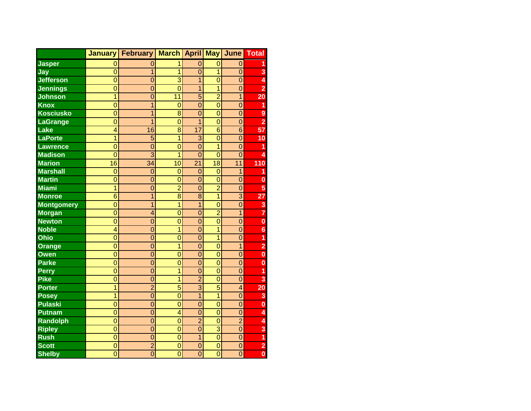### **Attendance**

- The Governor's Representative was present for 50.74% (410) of the 808 total projects and 56.27% (153) of the 343 total hearings
- The AFL-CIO Representative was present for 93.81% (758) of the total projects and 96.21% (330) of the total hearings
- The Awarding Agency was present for 83.91% (678) of the total projects and 90.09% (309) of the total hearings